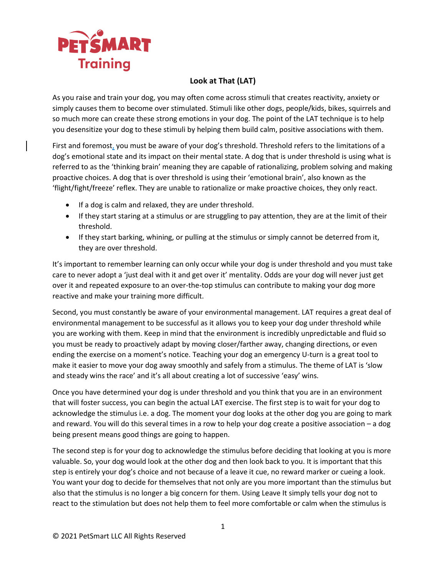

## **Look at That (LAT)**

As you raise and train your dog, you may often come across stimuli that creates reactivity, anxiety or simply causes them to become over stimulated. Stimuli like other dogs, people/kids, bikes, squirrels and so much more can create these strong emotions in your dog. The point of the LAT technique is to help you desensitize your dog to these stimuli by helping them build calm, positive associations with them.

First and foremost, you must be aware of your dog's threshold. Threshold refers to the limitations of a dog's emotional state and its impact on their mental state. A dog that is under threshold is using what is referred to as the 'thinking brain' meaning they are capable of rationalizing, problem solving and making proactive choices. A dog that is over threshold is using their 'emotional brain', also known as the 'flight/fight/freeze' reflex. They are unable to rationalize or make proactive choices, they only react.

- If a dog is calm and relaxed, they are under threshold.
- If they start staring at a stimulus or are struggling to pay attention, they are at the limit of their threshold.
- If they start barking, whining, or pulling at the stimulus or simply cannot be deterred from it, they are over threshold.

It's important to remember learning can only occur while your dog is under threshold and you must take care to never adopt a 'just deal with it and get over it' mentality. Odds are your dog will never just get over it and repeated exposure to an over-the-top stimulus can contribute to making your dog more reactive and make your training more difficult.

Second, you must constantly be aware of your environmental management. LAT requires a great deal of environmental management to be successful as it allows you to keep your dog under threshold while you are working with them. Keep in mind that the environment is incredibly unpredictable and fluid so you must be ready to proactively adapt by moving closer/farther away, changing directions, or even ending the exercise on a moment's notice. Teaching your dog an emergency U-turn is a great tool to make it easier to move your dog away smoothly and safely from a stimulus. The theme of LAT is 'slow and steady wins the race' and it's all about creating a lot of successive 'easy' wins.

Once you have determined your dog is under threshold and you think that you are in an environment that will foster success, you can begin the actual LAT exercise. The first step is to wait for your dog to acknowledge the stimulus i.e. a dog. The moment your dog looks at the other dog you are going to mark and reward. You will do this several times in a row to help your dog create a positive association – a dog being present means good things are going to happen.

The second step is for your dog to acknowledge the stimulus before deciding that looking at you is more valuable. So, your dog would look at the other dog and then look back to you. It is important that this step is entirely your dog's choice and not because of a leave it cue, no reward marker or cueing a look. You want your dog to decide for themselves that not only are you more important than the stimulus but also that the stimulus is no longer a big concern for them. Using Leave It simply tells your dog not to react to the stimulation but does not help them to feel more comfortable or calm when the stimulus is